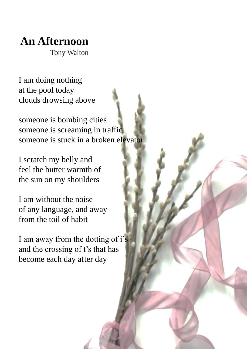## **An Afternoon**

Tony Walton

I am doing nothing at the pool today clouds drowsing above

someone is bombing cities someone is screaming in traffic someone is stuck in a broken elevator

I scratch my belly and feel the butter warmth of the sun on my shoulders

I am without the noise of any language, and away from the toil of habit

I am away from the dotting of i's and the crossing of t's that has become each day after day